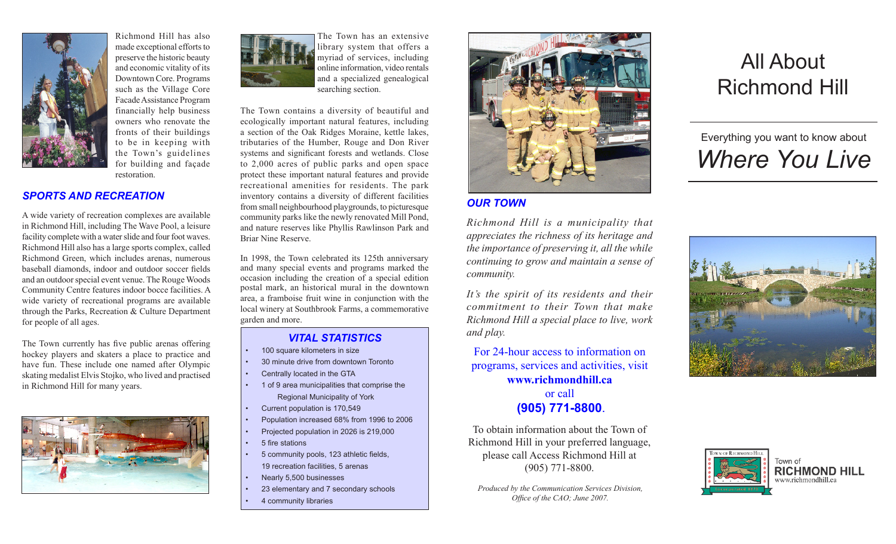

Richmond Hill has also made exceptional efforts to preserve the historic beauty and economic vitality of its Downtown Core. Programs such as the Village Core Facade Assistance Program financially help business owners who renovate the fronts of their buildings to be in keeping with the Town's guidelines for building and façade restoration.

#### *SPORTS AND RECREATION*

A wide variety of recreation complexes are available in Richmond Hill, including The Wave Pool, a leisure facility complete with a water slide and four foot waves. Richmond Hill also has a large sports complex, called Richmond Green, which includes arenas, numerous baseball diamonds, indoor and outdoor soccer fields and an outdoor special event venue. The Rouge Woods Community Centre features indoor bocce facilities. A wide variety of recreational programs are available through the Parks, Recreation & Culture Department for people of all ages.

The Town currently has five public arenas offering hockey players and skaters a place to practice and have fun. These include one named after Olympic skating medalist Elvis Stojko, who lived and practised in Richmond Hill for many years.





The Town has an extensive library system that offers a myriad of services, including online information, video rentals and a specialized genealogical searching section.

The Town contains a diversity of beautiful and ecologically important natural features, including a section of the Oak Ridges Moraine, kettle lakes, tributaries of the Humber, Rouge and Don River systems and significant forests and wetlands. Close to 2,000 acres of public parks and open space protect these important natural features and provide recreational amenities for residents. The park inventory contains a diversity of different facilities from small neighbourhood playgrounds, to picturesque community parks like the newly renovated Mill Pond, and nature reserves like Phyllis Rawlinson Park and Briar Nine Reserve.

In 1998, the Town celebrated its 125th anniversary and many special events and programs marked the occasion including the creation of a special edition postal mark, an historical mural in the downtown area, a framboise fruit wine in conjunction with the local winery at Southbrook Farms, a commemorative garden and more.

#### *VITAL STATISTICS*

- 100 square kilometers in size
- 30 minute drive from downtown Toronto
- Centrally located in the GTA
- 1 of 9 area municipalities that comprise the Regional Municipality of York
- Current population is 170,549
- Population increased 68% from 1996 to 2006
- Projected population in 2026 is 219,000
- 5 fire stations
- 5 community pools, 123 athletic fields, 19 recreation facilities, 5 arenas
- Nearly 5,500 businesses
- 23 elementary and 7 secondary schools
- 4 community libraries



## *OUR TOWN*

*Richmond Hill is a municipality that appreciates the richness of its heritage and the importance of preserving it, all the while continuing to grow and maintain a sense of community.* 

*It's the spirit of its residents and their commitment to their Town that make Richmond Hill a special place to live, work and play.*

For 24-hour access to information on programs, services and activities, visit **www.richmondhill.ca** or call

# **(905) 771-8800**.

To obtain information about the Town of Richmond Hill in your preferred language, please call Access Richmond Hill at (905) 771-8800.

*Produced by the Communication Services Division, Office of the CAO; June 2007.*

# All About Richmond Hill

# Everything you want to know about *Where You Live*